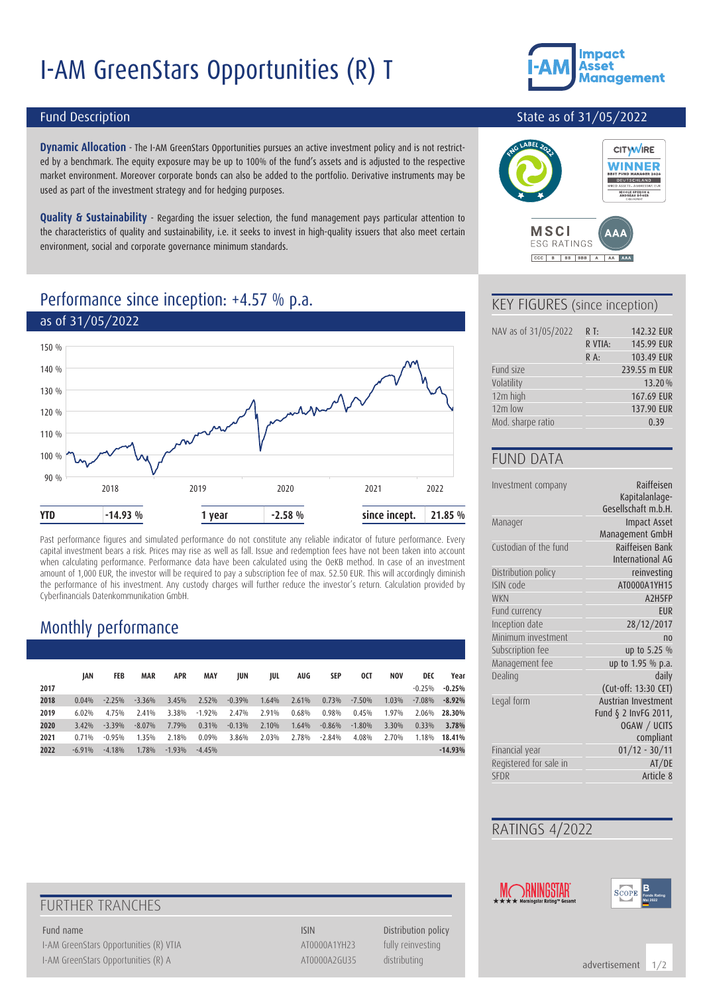# I-AM GreenStars Opportunities (R) T



#### Fund Description

**Dynamic Allocation** - The I-AM GreenStars Opportunities pursues an active investment policy and is not restricted by a benchmark. The equity exposure may be up to 100% of the fund's assets and is adjusted to the respective market environment. Moreover corporate bonds can also be added to the portfolio. Derivative instruments may be used as part of the investment strategy and for hedging purposes.

**Quality & Sustainability** - Regarding the issuer selection, the fund management pays particular attention to the characteristics of quality and sustainability, i.e. it seeks to invest in high-quality issuers that also meet certain environment, social and corporate governance minimum standards.

### Performance since inception: +4.57 % p.a.



Past performance figures and simulated performance do not constitute any reliable indicator of future performance. Every capital investment bears a risk. Prices may rise as well as fall. Issue and redemption fees have not been taken into account when calculating performance. Performance data have been calculated using the OeKB method. In case of an investment amount of 1,000 EUR, the investor will be required to pay a subscription fee of max. 52.50 EUR. This will accordingly diminish the performance of his investment. Any custody charges will further reduce the investor's return. Calculation provided by Cyberfinancials Datenkommunikation GmbH.

# Monthly performance

|      | IAN      | FEB      | <b>MAR</b> | <b>APR</b> | <b>MAY</b> | JUN      | JUL   | AUG   | SEP      | 0CT      | <b>NOV</b> | DEC       | Year      |
|------|----------|----------|------------|------------|------------|----------|-------|-------|----------|----------|------------|-----------|-----------|
| 2017 |          |          |            |            |            |          |       |       |          |          |            | $-0.25%$  | $-0.25%$  |
| 2018 | 0.04%    | $-2.25%$ | $-3.36%$   | 3.45%      | 2.52%      | $-0.39%$ | 1.64% | 2.61% | 0.73%    | $-7.50%$ | 1.03%      | $-7.08\%$ | $-8.92%$  |
| 2019 | 6.02%    | 4.75%    | 2.41%      | 3.38%      | $-1.92%$   | 2.47%    | 2.91% | 0.68% | 0.98%    | 0.45%    | 1.97%      | 2.06%     | 28.30%    |
| 2020 | 3.42%    | $-3.39%$ | $-8.07%$   | 7.79%      | 0.31%      | $-0.13%$ | 2.10% | 1.64% | $-0.86%$ | $-1.80%$ | 3.30%      | 0.33%     | 3.78%     |
| 2021 | 0.71%    | $-0.95%$ | 1.35%      | 2.18%      | 0.09%      | 3.86%    | 2.03% | 2.78% | $-2.84%$ | 4.08%    | 2.70%      | 1.18%     | 18.41%    |
| 2022 | $-6.91%$ | $-4.18%$ | 1.78%      | $-1.93%$   | $-4.45%$   |          |       |       |          |          |            |           | $-14.93%$ |

#### State as of 31/05/2022



#### KEY FIGURES (since inception)

CCC B BB BBB A AA AAA

| NAV as of 31/05/2022 | $R$ T:  | 142.32 EUR   |
|----------------------|---------|--------------|
|                      | R VTIA: | 145.99 EUR   |
|                      | $R A$ : | 103.49 EUR   |
| Fund size            |         | 239.55 m EUR |
| Volatility           |         | 13.20%       |
| 12m high             |         | 167.69 EUR   |
| 12m low              |         | 137.90 EUR   |
| Mod. sharpe ratio    |         | 0.39         |

#### FUND DATA

| Investment company     | Raiffeisen                      |
|------------------------|---------------------------------|
|                        | Kapitalanlage-                  |
|                        | Gesellschaft m.b.H.             |
| Manager                | <b>Impact Asset</b>             |
|                        | Management GmbH                 |
| Custodian of the fund  | Raiffeisen Bank                 |
|                        | International AG                |
| Distribution policy    | reinvesting                     |
| ISIN code              | AT0000A1YH15                    |
| <b>WKN</b>             | A <sub>2</sub> H <sub>5FP</sub> |
| Fund currency          | <b>FUR</b>                      |
| Inception date         | 28/12/2017                      |
| Minimum investment     | n <sub>0</sub>                  |
| Subscription fee       | up to 5.25 %                    |
| Management fee         | up to 1.95 % p.a.               |
| Dealing                | daily                           |
|                        | (Cut-off: 13:30 CET)            |
| Legal form             | Austrian Investment             |
|                        | Fund § 2 InvFG 2011,            |
|                        | OGAW / UCITS                    |
|                        | compliant                       |
| Financial year         | $01/12 - 30/11$                 |
| Registered for sale in | AT/DE                           |
| SFDR                   | Article 8                       |
|                        |                                 |

#### RATINGS 4/2022





# FURTHER TRANCHES

I-AM GreenStars Opportunities (R) VTIA ATOOOOA1YH23 fully reinvesting I-AM GreenStars Opportunities (R) A AT0000A2GU35 distributing

Fund name **ISIN** Distribution policy